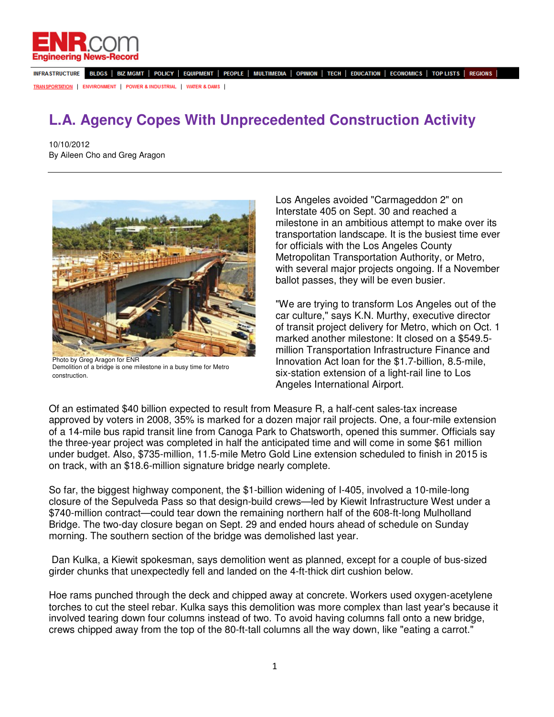

INFRASTRUCTURE BLDGS | BIZ MGMT | POLICY | EQUIPMENT | PEOPLE | MULTIMEDIA | OPINION | TECH | EDUCATION | ECONOMICS | TOP LISTS | REGIONS |

**TRANSPORTATION | ENVIRONMENT | POWER & INDUSTRIAL | WATER & DAMS |** 

## **L.A. Agency Copes With Unprecedented Construction Activity**

10/10/2012 By Aileen Cho and Greg Aragon



Photo by Greg Aragon for ENR Demolition of a bridge is one milestone in a busy time for Metro construction.

Los Angeles avoided "Carmageddon 2" on Interstate 405 on Sept. 30 and reached a milestone in an ambitious attempt to make over its transportation landscape. It is the busiest time ever for officials with the Los Angeles County Metropolitan Transportation Authority, or Metro, with several major projects ongoing. If a November ballot passes, they will be even busier.

"We are trying to transform Los Angeles out of the car culture," says K.N. Murthy, executive director of transit project delivery for Metro, which on Oct. 1 marked another milestone: It closed on a \$549.5 million Transportation Infrastructure Finance and Innovation Act loan for the \$1.7-billion, 8.5-mile, six-station extension of a light-rail line to Los Angeles International Airport.

Of an estimated \$40 billion expected to result from Measure R, a half-cent sales-tax increase approved by voters in 2008, 35% is marked for a dozen major rail projects. One, a four-mile extension of a 14-mile bus rapid transit line from Canoga Park to Chatsworth, opened this summer. Officials say the three-year project was completed in half the anticipated time and will come in some \$61 million under budget. Also, \$735-million, 11.5-mile Metro Gold Line extension scheduled to finish in 2015 is on track, with an \$18.6-million signature bridge nearly complete.

So far, the biggest highway component, the \$1-billion widening of I-405, involved a 10-mile-long closure of the Sepulveda Pass so that design-build crews—led by Kiewit Infrastructure West under a \$740-million contract—could tear down the remaining northern half of the 608-ft-long Mulholland Bridge. The two-day closure began on Sept. 29 and ended hours ahead of schedule on Sunday morning. The southern section of the bridge was demolished last year.

 Dan Kulka, a Kiewit spokesman, says demolition went as planned, except for a couple of bus-sized girder chunks that unexpectedly fell and landed on the 4-ft-thick dirt cushion below.

Hoe rams punched through the deck and chipped away at concrete. Workers used oxygen-acetylene torches to cut the steel rebar. Kulka says this demolition was more complex than last year's because it involved tearing down four columns instead of two. To avoid having columns fall onto a new bridge, crews chipped away from the top of the 80-ft-tall columns all the way down, like "eating a carrot."